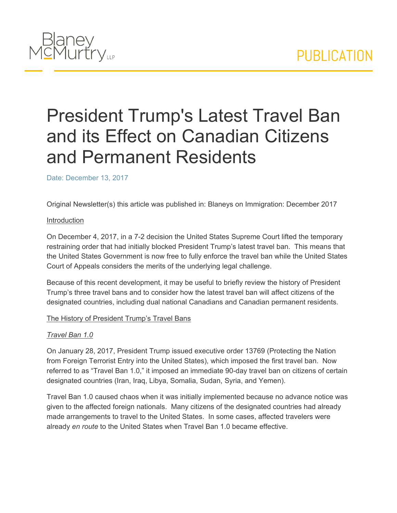

# President Trump's Latest Travel Ban and its Effect on Canadian Citizens and Permanent Residents

Date: December 13, 2017

Original Newsletter(s) this article was published in: Blaneys on Immigration: December 2017

#### Introduction

On December 4, 2017, in a 7-2 decision the United States Supreme Court lifted the temporary restraining order that had initially blocked President Trump's latest travel ban. This means that the United States Government is now free to fully enforce the travel ban while the United States Court of Appeals considers the merits of the underlying legal challenge.

Because of this recent development, it may be useful to briefly review the history of President Trump's three travel bans and to consider how the latest travel ban will affect citizens of the designated countries, including dual national Canadians and Canadian permanent residents.

### The History of President Trump's Travel Bans

### *Travel Ban 1.0*

On January 28, 2017, President Trump issued executive order 13769 (Protecting the Nation from Foreign Terrorist Entry into the United States), which imposed the first travel ban. Now referred to as "Travel Ban 1.0," it imposed an immediate 90-day travel ban on citizens of certain designated countries (Iran, Iraq, Libya, Somalia, Sudan, Syria, and Yemen).

Travel Ban 1.0 caused chaos when it was initially implemented because no advance notice was given to the affected foreign nationals. Many citizens of the designated countries had already made arrangements to travel to the United States. In some cases, affected travelers were already *en route* to the United States when Travel Ban 1.0 became effective.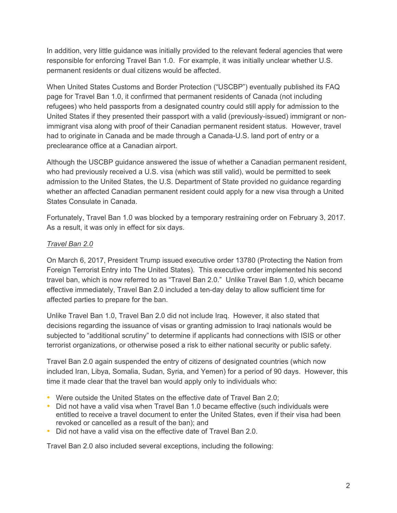In addition, very little guidance was initially provided to the relevant federal agencies that were responsible for enforcing Travel Ban 1.0. For example, it was initially unclear whether U.S. permanent residents or dual citizens would be affected.

When United States Customs and Border Protection ("USCBP") eventually published its FAQ page for Travel Ban 1.0, it confirmed that permanent residents of Canada (not including refugees) who held passports from a designated country could still apply for admission to the United States if they presented their passport with a valid (previously-issued) immigrant or nonimmigrant visa along with proof of their Canadian permanent resident status. However, travel had to originate in Canada and be made through a Canada-U.S. land port of entry or a preclearance office at a Canadian airport.

Although the USCBP guidance answered the issue of whether a Canadian permanent resident, who had previously received a U.S. visa (which was still valid), would be permitted to seek admission to the United States, the U.S. Department of State provided no guidance regarding whether an affected Canadian permanent resident could apply for a new visa through a United States Consulate in Canada.

Fortunately, Travel Ban 1.0 was blocked by a temporary restraining order on February 3, 2017. As a result, it was only in effect for six days.

# *Travel Ban 2.0*

On March 6, 2017, President Trump issued executive order 13780 (Protecting the Nation from Foreign Terrorist Entry into The United States). This executive order implemented his second travel ban, which is now referred to as "Travel Ban 2.0." Unlike Travel Ban 1.0, which became effective immediately, Travel Ban 2.0 included a ten-day delay to allow sufficient time for affected parties to prepare for the ban.

Unlike Travel Ban 1.0, Travel Ban 2.0 did not include Iraq. However, it also stated that decisions regarding the issuance of visas or granting admission to Iraqi nationals would be subjected to "additional scrutiny" to determine if applicants had connections with ISIS or other terrorist organizations, or otherwise posed a risk to either national security or public safety.

Travel Ban 2.0 again suspended the entry of citizens of designated countries (which now included Iran, Libya, Somalia, Sudan, Syria, and Yemen) for a period of 90 days. However, this time it made clear that the travel ban would apply only to individuals who:

- Were outside the United States on the effective date of Travel Ban 2.0;
- Did not have a valid visa when Travel Ban 1.0 became effective (such individuals were entitled to receive a travel document to enter the United States, even if their visa had been revoked or cancelled as a result of the ban); and
- Did not have a valid visa on the effective date of Travel Ban 2.0.

Travel Ban 2.0 also included several exceptions, including the following: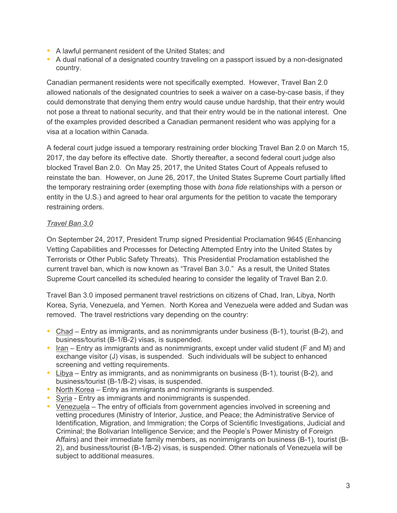- A lawful permanent resident of the United States; and
- A dual national of a designated country traveling on a passport issued by a non-designated country.

Canadian permanent residents were not specifically exempted. However, Travel Ban 2.0 allowed nationals of the designated countries to seek a waiver on a case-by-case basis, if they could demonstrate that denying them entry would cause undue hardship, that their entry would not pose a threat to national security, and that their entry would be in the national interest. One of the examples provided described a Canadian permanent resident who was applying for a visa at a location within Canada.

A federal court judge issued a temporary restraining order blocking Travel Ban 2.0 on March 15, 2017, the day before its effective date. Shortly thereafter, a second federal court judge also blocked Travel Ban 2.0. On May 25, 2017, the United States Court of Appeals refused to reinstate the ban. However, on June 26, 2017, the United States Supreme Court partially lifted the temporary restraining order (exempting those with *bona fide* relationships with a person or entity in the U.S.) and agreed to hear oral arguments for the petition to vacate the temporary restraining orders.

# *Travel Ban 3.0*

On September 24, 2017, President Trump signed Presidential Proclamation 9645 (Enhancing Vetting Capabilities and Processes for Detecting Attempted Entry into the United States by Terrorists or Other Public Safety Threats). This Presidential Proclamation established the current travel ban, which is now known as "Travel Ban 3.0." As a result, the United States Supreme Court cancelled its scheduled hearing to consider the legality of Travel Ban 2.0.

Travel Ban 3.0 imposed permanent travel restrictions on citizens of Chad, Iran, Libya, North Korea, Syria, Venezuela, and Yemen. North Korea and Venezuela were added and Sudan was removed. The travel restrictions vary depending on the country:

- Chad Entry as immigrants, and as nonimmigrants under business (B-1), tourist (B-2), and business/tourist (B-1/B-2) visas, is suspended.
- Iran Entry as immigrants and as nonimmigrants, except under valid student (F and M) and exchange visitor (J) visas, is suspended. Such individuals will be subject to enhanced screening and vetting requirements.
- Libya Entry as immigrants, and as nonimmigrants on business (B-1), tourist (B-2), and business/tourist (B-1/B-2) visas, is suspended.
- North Korea Entry as immigrants and nonimmigrants is suspended.
- Syria Entry as immigrants and nonimmigrants is suspended.
- Venezuela The entry of officials from government agencies involved in screening and vetting procedures (Ministry of Interior, Justice, and Peace; the Administrative Service of Identification, Migration, and Immigration; the Corps of Scientific Investigations, Judicial and Criminal; the Bolivarian Intelligence Service; and the People's Power Ministry of Foreign Affairs) and their immediate family members, as nonimmigrants on business (B-1), tourist (B-2), and business/tourist (B-1/B-2) visas, is suspended. Other nationals of Venezuela will be subject to additional measures.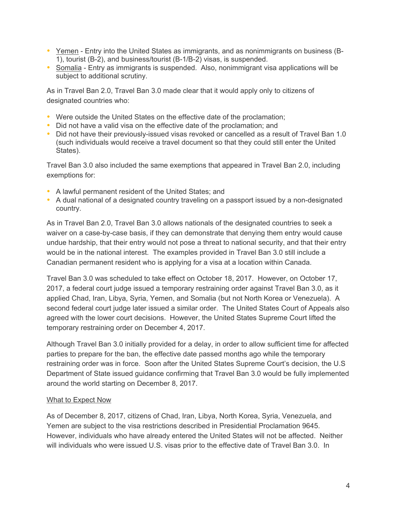- Yemen Entry into the United States as immigrants, and as nonimmigrants on business (B-1), tourist (B-2), and business/tourist (B-1/B-2) visas, is suspended.
- Somalia Entry as immigrants is suspended. Also, nonimmigrant visa applications will be subject to additional scrutiny.

As in Travel Ban 2.0, Travel Ban 3.0 made clear that it would apply only to citizens of designated countries who:

- Were outside the United States on the effective date of the proclamation;
- Did not have a valid visa on the effective date of the proclamation; and
- Did not have their previously-issued visas revoked or cancelled as a result of Travel Ban 1.0 (such individuals would receive a travel document so that they could still enter the United States).

Travel Ban 3.0 also included the same exemptions that appeared in Travel Ban 2.0, including exemptions for:

- A lawful permanent resident of the United States; and
- A dual national of a designated country traveling on a passport issued by a non-designated country.

As in Travel Ban 2.0, Travel Ban 3.0 allows nationals of the designated countries to seek a waiver on a case-by-case basis, if they can demonstrate that denying them entry would cause undue hardship, that their entry would not pose a threat to national security, and that their entry would be in the national interest. The examples provided in Travel Ban 3.0 still include a Canadian permanent resident who is applying for a visa at a location within Canada.

Travel Ban 3.0 was scheduled to take effect on October 18, 2017. However, on October 17, 2017, a federal court judge issued a temporary restraining order against Travel Ban 3.0, as it applied Chad, Iran, Libya, Syria, Yemen, and Somalia (but not North Korea or Venezuela). A second federal court judge later issued a similar order. The United States Court of Appeals also agreed with the lower court decisions. However, the United States Supreme Court lifted the temporary restraining order on December 4, 2017.

Although Travel Ban 3.0 initially provided for a delay, in order to allow sufficient time for affected parties to prepare for the ban, the effective date passed months ago while the temporary restraining order was in force. Soon after the United States Supreme Court's decision, the U.S Department of State issued guidance confirming that Travel Ban 3.0 would be fully implemented around the world starting on December 8, 2017.

### What to Expect Now

As of December 8, 2017, citizens of Chad, Iran, Libya, North Korea, Syria, Venezuela, and Yemen are subject to the visa restrictions described in Presidential Proclamation 9645. However, individuals who have already entered the United States will not be affected. Neither will individuals who were issued U.S. visas prior to the effective date of Travel Ban 3.0. In